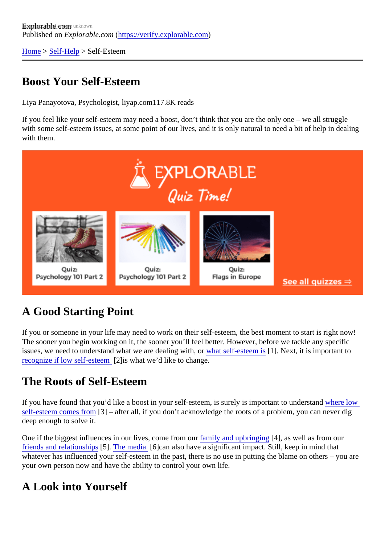[Home](https://verify.explorable.com/)> Self-Help> Self-Esteem

### Boost Your Self-Esteem

Liya Panayotova, Psychologist, liyap.com7.8K reads

If you feel like your self-esteem may need a boost, don't think that you are the only one – we all struggle with some self-esteem issues, at some point of our lives, and it is only natural to need a bit of help in deali with them.

# A Good Starting Point

If you or someone in your life may need to work on their self-esteem, the best moment to start is right now The sooner you begin working on it, the sooner you'll feel better. However, before we tackle any specific issues, we need to understand what we are dealing with anself-esteem is [1]. Next, it is important to recognize if low self-esteer[2]is what we'd like to change.

#### The Roots of Self-Esteem

If you have found that you'd like a boost in your self-esteem, is surely is important to understand ow [self-esteem comes fro](https://explorable.com/where-does-self-esteem-come-from?gid=21367)m<sup>[3]</sup> – after all, if you don't acknowledge the roots of a problem, you can never dig deep enough to solve it.

One if the biggest influences in our lives, come from family and upbringing 4], as well as from our [friends and relationship](https://explorable.com/friendships-and-relationships?gid=21367)<sup>5</sup>]. [The media](https://explorable.com/the-media?gid=21367) [6] can also have a significant impact. Still, keep in mind that whatever has influenced your self-esteem in the past, there is no use in putting the blame on others  $-$  you your own person now and have the ability to control your own life.

### A Look into Yourself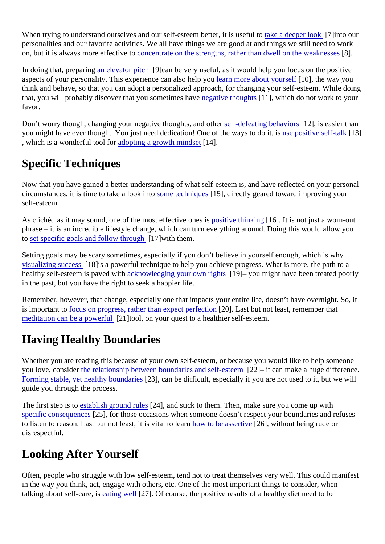When trying to understand ourselves and our self-esteem better, it is usele to the look [7] into our personalities and our favorite activities. We all have things we are good at and things we still need to work on, but it is always more effective **to** ncentrate on the strengths, rather than dwell on the weak

In doing that, preparing elevator pitch [9] can be very useful, as it would help you focus on the positive aspects of your personality. This experience can also hel**l groumore about yourself [10]**, the way you think and behave, so that you can adopt a personalized approach, for changing your self-esteem. While de that, you will probably discover that you sometimes has entired thoughts 11, which do not work to your favor.

Don't worry though, changing your negative thoughts, and **sthe defeating behaviors** 2], is easier than you might have ever thought. You just need dedication! One of the ways to dose, positive self-talk[13] , which is a wonderful tool for dopting a growth mindset 4].

### Specific Techniques

Now that you have gained a better understanding of what self-esteem is, and have reflected on your personal circumstances, it is time to take a look into the chniques 5], directly geared toward improving your self-esteem.

As clichéd as it may sound, one of the most effective ores is ve thinking 16]. It is not just a worn-out phrase – it is an incredible lifestyle change, which can turn everything around. Doing this would allow you to [set specific goals and follow throug](https://explorable.com/goal-setting?gid=21367)h 7] with them.

Setting goals may be scary sometimes, especially if you don't believe in yourself enough, which is why [visualizing succes](https://explorable.com/visualizing-success?gid=21367) \$18] is a powerful technique to help you achieve progress. What is more, the path to a healthy self-esteem is paved wab knowledging your own rights [9] – you might have been treated poorly in the past, but you have the right to seek a happier life.

Remember, however, that change, especially one that impacts your entire life, doesn't have overnight. So, is important t[o focus on progress, rather than expect perfe](https://explorable.com/why-progress-not-perfection?gid=21367)ction Last but not least, remember that [meditation can be a powerf](https://explorable.com/meditation-and-self-esteem?gid=21367)( $\Omega$ 1|tool, on your quest to a healthier self-esteem.

# Having Healthy Boundaries

Whether you are reading this because of your own self-esteem, or because you would like to help someor you love, consid[er the relationship between boundaries and self-es](https://explorable.com/boundaries-and-assertiveness?gid=21367)t<sup>22</sup><sub>1</sub> it can make a huge difference. [Forming stable, yet healthy bounda](https://explorable.com/forming-boundaries?gid=21367)ri<sup>23</sup>, can be difficult, especially if you are not used to it, but we will guide you through the process.

The first step is t[o establish ground rule](https://explorable.com/ground-rules?gid=21367) 24], and stick to them. Then, make sure you come up with [specific consequenc](https://explorable.com/establishing-consequences-for-boundaries?gid=21367)e 25], for those occasions when someone doesn't respect your boundaries and refuses to listen to reason. Last but not least, it is vital to learn to be assertive 6], without being rude or disrespectful.

### Looking After Yourself

Often, people who struggle with low self-esteem, tend not to treat themselves very well. This could manife in the way you think, act, engage with others, etc. One of the most important things to consider, when talking about self-care, is ating well[27]. Of course, the positive results of a healthy diet need to be